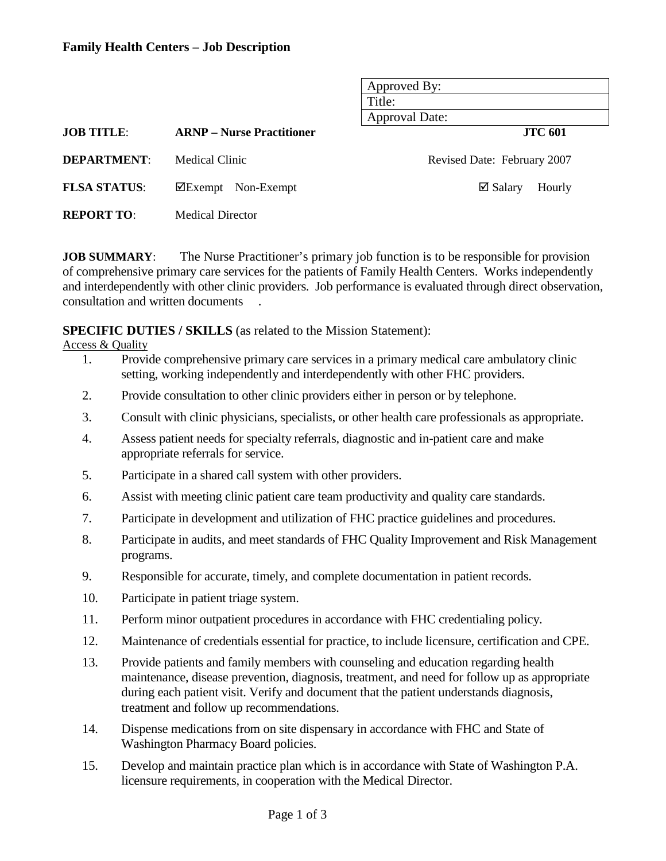### **Family Health Centers – Job Description**

|                     |                                  | Approved By:<br>Title:<br><b>Approval Date:</b> |  |  |  |
|---------------------|----------------------------------|-------------------------------------------------|--|--|--|
| <b>JOB TITLE:</b>   | <b>ARNP</b> – Nurse Practitioner | <b>JTC 601</b>                                  |  |  |  |
| <b>DEPARTMENT:</b>  | Medical Clinic                   | Revised Date: February 2007                     |  |  |  |
| <b>FLSA STATUS:</b> | $\Delta$ Exempt Non-Exempt       | $\boxtimes$ Salary<br>Hourly                    |  |  |  |
| <b>REPORT TO:</b>   | <b>Medical Director</b>          |                                                 |  |  |  |

**JOB SUMMARY:** The Nurse Practitioner's primary job function is to be responsible for provision of comprehensive primary care services for the patients of Family Health Centers. Works independently and interdependently with other clinic providers. Job performance is evaluated through direct observation, consultation and written documents .

**SPECIFIC DUTIES / SKILLS** (as related to the Mission Statement):

Access & Quality

- 1. Provide comprehensive primary care services in a primary medical care ambulatory clinic setting, working independently and interdependently with other FHC providers.
- 2. Provide consultation to other clinic providers either in person or by telephone.
- 3. Consult with clinic physicians, specialists, or other health care professionals as appropriate.
- 4. Assess patient needs for specialty referrals, diagnostic and in-patient care and make appropriate referrals for service.
- 5. Participate in a shared call system with other providers.
- 6. Assist with meeting clinic patient care team productivity and quality care standards.
- 7. Participate in development and utilization of FHC practice guidelines and procedures.
- 8. Participate in audits, and meet standards of FHC Quality Improvement and Risk Management programs.
- 9. Responsible for accurate, timely, and complete documentation in patient records.
- 10. Participate in patient triage system.
- 11. Perform minor outpatient procedures in accordance with FHC credentialing policy.
- 12. Maintenance of credentials essential for practice, to include licensure, certification and CPE.
- 13. Provide patients and family members with counseling and education regarding health maintenance, disease prevention, diagnosis, treatment, and need for follow up as appropriate during each patient visit. Verify and document that the patient understands diagnosis, treatment and follow up recommendations.
- 14. Dispense medications from on site dispensary in accordance with FHC and State of Washington Pharmacy Board policies.
- 15. Develop and maintain practice plan which is in accordance with State of Washington P.A. licensure requirements, in cooperation with the Medical Director.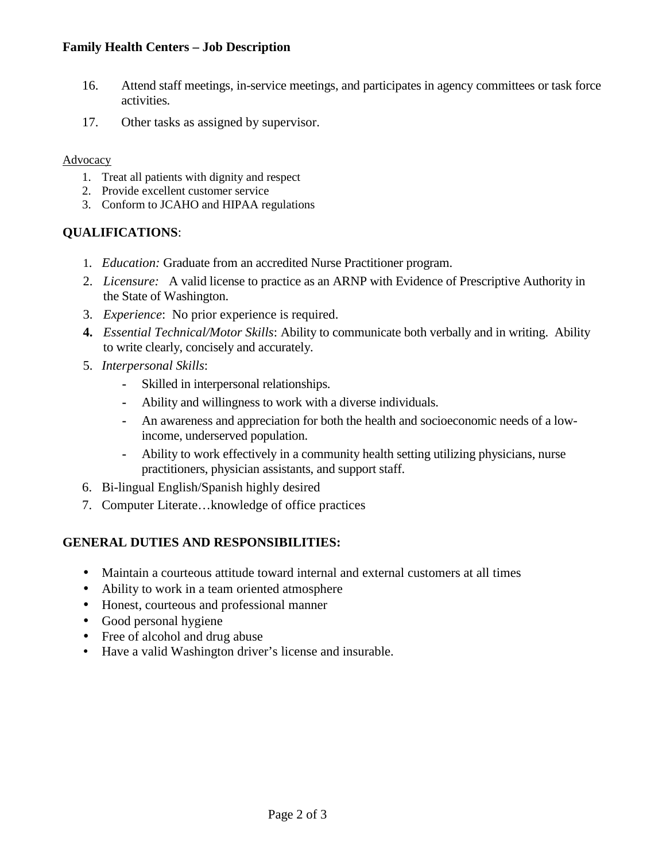## **Family Health Centers – Job Description**

- 16. Attend staff meetings, in-service meetings, and participates in agency committees or task force activities.
- 17. Other tasks as assigned by supervisor.

### **Advocacy**

- 1. Treat all patients with dignity and respect
- 2. Provide excellent customer service
- 3. Conform to JCAHO and HIPAA regulations

# **QUALIFICATIONS**:

- 1. *Education:* Graduate from an accredited Nurse Practitioner program.
- 2. *Licensure:* A valid license to practice as an ARNP with Evidence of Prescriptive Authority in the State of Washington.
- 3. *Experience*: No prior experience is required.
- **4.** *Essential Technical/Motor Skills*: Ability to communicate both verbally and in writing. Ability to write clearly, concisely and accurately.
- 5. *Interpersonal Skills*:
	- **-** Skilled in interpersonal relationships.
	- **-** Ability and willingness to work with a diverse individuals.
	- **-** An awareness and appreciation for both the health and socioeconomic needs of a lowincome, underserved population.
	- **-** Ability to work effectively in a community health setting utilizing physicians, nurse practitioners, physician assistants, and support staff.
- 6. Bi-lingual English/Spanish highly desired
- 7. Computer Literate…knowledge of office practices

## **GENERAL DUTIES AND RESPONSIBILITIES:**

- Maintain a courteous attitude toward internal and external customers at all times
- Ability to work in a team oriented atmosphere
- Honest, courteous and professional manner
- Good personal hygiene
- Free of alcohol and drug abuse
- Have a valid Washington driver's license and insurable.